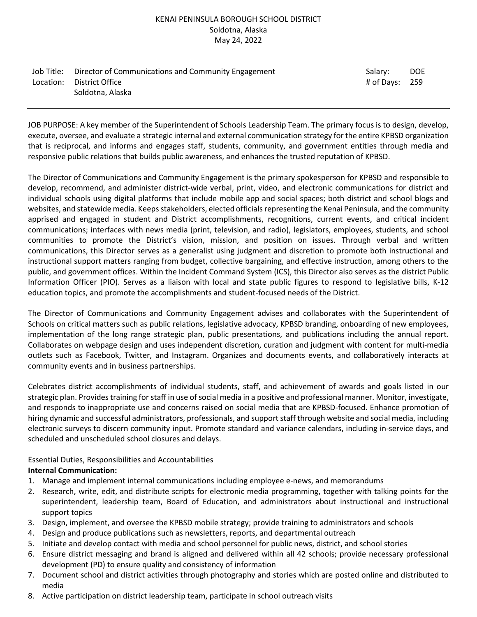### KENAI PENINSULA BOROUGH SCHOOL DISTRICT Soldotna, Alaska May 24, 2022

| Job Title: Director of Communications and Community Engagement | Salary:        | <b>DOE</b> |
|----------------------------------------------------------------|----------------|------------|
| Location: District Office                                      | # of Davs: 259 |            |
| Soldotna, Alaska                                               |                |            |

JOB PURPOSE: A key member of the Superintendent of Schools Leadership Team. The primary focus is to design, develop, execute, oversee, and evaluate a strategic internal and external communication strategy for the entire KPBSD organization that is reciprocal, and informs and engages staff, students, community, and government entities through media and responsive public relations that builds public awareness, and enhances the trusted reputation of KPBSD.

The Director of Communications and Community Engagement is the primary spokesperson for KPBSD and responsible to develop, recommend, and administer district-wide verbal, print, video, and electronic communications for district and individual schools using digital platforms that include mobile app and social spaces; both district and school blogs and websites, and statewide media. Keeps stakeholders, elected officials representing the Kenai Peninsula, and the community apprised and engaged in student and District accomplishments, recognitions, current events, and critical incident communications; interfaces with news media (print, television, and radio), legislators, employees, students, and school communities to promote the District's vision, mission, and position on issues. Through verbal and written communications, this Director serves as a generalist using judgment and discretion to promote both instructional and instructional support matters ranging from budget, collective bargaining, and effective instruction, among others to the public, and government offices. Within the Incident Command System (ICS), this Director also serves as the district Public Information Officer (PIO). Serves as a liaison with local and state public figures to respond to legislative bills, K-12 education topics, and promote the accomplishments and student-focused needs of the District.

The Director of Communications and Community Engagement advises and collaborates with the Superintendent of Schools on critical matters such as public relations, legislative advocacy, KPBSD branding, onboarding of new employees, implementation of the long range strategic plan, public presentations, and publications including the annual report. Collaborates on webpage design and uses independent discretion, curation and judgment with content for multi-media outlets such as Facebook, Twitter, and Instagram. Organizes and documents events, and collaboratively interacts at community events and in business partnerships.

Celebrates district accomplishments of individual students, staff, and achievement of awards and goals listed in our strategic plan. Provides training for staff in use of social media in a positive and professional manner. Monitor, investigate, and responds to inappropriate use and concerns raised on social media that are KPBSD-focused. Enhance promotion of hiring dynamic and successful administrators, professionals, and support staff through website and social media, including electronic surveys to discern community input. Promote standard and variance calendars, including in-service days, and scheduled and unscheduled school closures and delays.

# Essential Duties, Responsibilities and Accountabilities

## **Internal Communication:**

- 1. Manage and implement internal communications including employee e-news, and memorandums
- 2. Research, write, edit, and distribute scripts for electronic media programming, together with talking points for the superintendent, leadership team, Board of Education, and administrators about instructional and instructional support topics
- 3. Design, implement, and oversee the KPBSD mobile strategy; provide training to administrators and schools
- 4. Design and produce publications such as newsletters, reports, and departmental outreach
- 5. Initiate and develop contact with media and school personnel for public news, district, and school stories
- 6. Ensure district messaging and brand is aligned and delivered within all 42 schools; provide necessary professional development (PD) to ensure quality and consistency of information
- 7. Document school and district activities through photography and stories which are posted online and distributed to media
- 8. Active participation on district leadership team, participate in school outreach visits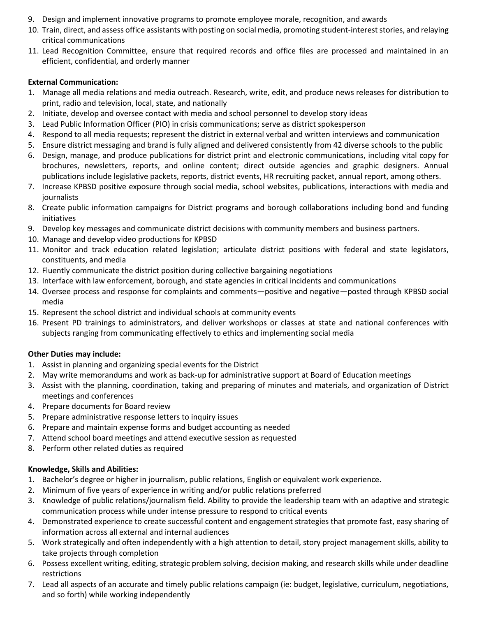- 9. Design and implement innovative programs to promote employee morale, recognition, and awards
- 10. Train, direct, and assess office assistants with posting on social media, promoting student-interest stories, and relaying critical communications
- 11. Lead Recognition Committee, ensure that required records and office files are processed and maintained in an efficient, confidential, and orderly manner

#### **External Communication:**

- 1. Manage all media relations and media outreach. Research, write, edit, and produce news releases for distribution to print, radio and television, local, state, and nationally
- 2. Initiate, develop and oversee contact with media and school personnel to develop story ideas
- 3. Lead Public Information Officer (PIO) in crisis communications; serve as district spokesperson
- 4. Respond to all media requests; represent the district in external verbal and written interviews and communication
- 5. Ensure district messaging and brand is fully aligned and delivered consistently from 42 diverse schools to the public
- 6. Design, manage, and produce publications for district print and electronic communications, including vital copy for brochures, newsletters, reports, and online content; direct outside agencies and graphic designers. Annual publications include legislative packets, reports, district events, HR recruiting packet, annual report, among others.
- 7. Increase KPBSD positive exposure through social media, school websites, publications, interactions with media and journalists
- 8. Create public information campaigns for District programs and borough collaborations including bond and funding initiatives
- 9. Develop key messages and communicate district decisions with community members and business partners.
- 10. Manage and develop video productions for KPBSD
- 11. Monitor and track education related legislation; articulate district positions with federal and state legislators, constituents, and media
- 12. Fluently communicate the district position during collective bargaining negotiations
- 13. Interface with law enforcement, borough, and state agencies in critical incidents and communications
- 14. Oversee process and response for complaints and comments—positive and negative—posted through KPBSD social media
- 15. Represent the school district and individual schools at community events
- 16. Present PD trainings to administrators, and deliver workshops or classes at state and national conferences with subjects ranging from communicating effectively to ethics and implementing social media

#### **Other Duties may include:**

- 1. Assist in planning and organizing special events for the District
- 2. May write memorandums and work as back-up for administrative support at Board of Education meetings
- 3. Assist with the planning, coordination, taking and preparing of minutes and materials, and organization of District meetings and conferences
- 4. Prepare documents for Board review
- 5. Prepare administrative response letters to inquiry issues
- 6. Prepare and maintain expense forms and budget accounting as needed
- 7. Attend school board meetings and attend executive session as requested
- 8. Perform other related duties as required

## **Knowledge, Skills and Abilities:**

- 1. Bachelor's degree or higher in journalism, public relations, English or equivalent work experience.
- 2. Minimum of five years of experience in writing and/or public relations preferred
- 3. Knowledge of public relations/journalism field. Ability to provide the leadership team with an adaptive and strategic communication process while under intense pressure to respond to critical events
- 4. Demonstrated experience to create successful content and engagement strategies that promote fast, easy sharing of information across all external and internal audiences
- 5. Work strategically and often independently with a high attention to detail, story project management skills, ability to take projects through completion
- 6. Possess excellent writing, editing, strategic problem solving, decision making, and research skills while under deadline restrictions
- 7. Lead all aspects of an accurate and timely public relations campaign (ie: budget, legislative, curriculum, negotiations, and so forth) while working independently